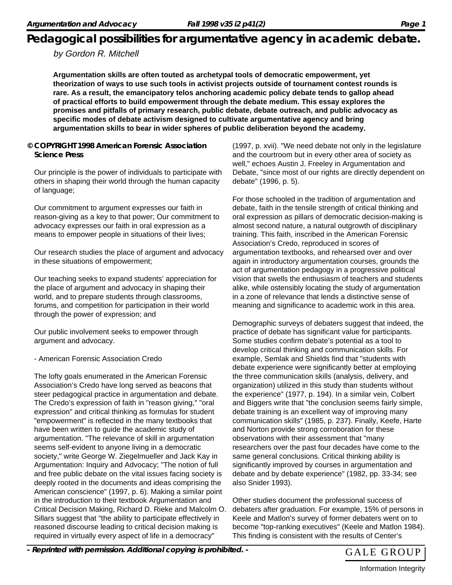#### by Gordon R. Mitchell

**Argumentation skills are often touted as archetypal tools of democratic empowerment, yet theorization of ways to use such tools in activist projects outside of tournament contest rounds is rare. As a result, the emancipatory telos anchoring academic policy debate tends to gallop ahead of practical efforts to build empowerment through the debate medium. This essay explores the promises and pitfalls of primary research, public debate, debate outreach, and public advocacy as specific modes of debate activism designed to cultivate argumentative agency and bring argumentation skills to bear in wider spheres of public deliberation beyond the academy.**

**© COPYRIGHT 1998 American Forensic Association Science Press**

Our principle is the power of individuals to participate with others in shaping their world through the human capacity of language;

Our commitment to argument expresses our faith in reason-giving as a key to that power; Our commitment to advocacy expresses our faith in oral expression as a means to empower people in situations of their lives;

Our research studies the place of argument and advocacy in these situations of empowerment;

Our teaching seeks to expand students' appreciation for the place of argument and advocacy in shaping their world, and to prepare students through classrooms, forums, and competition for participation in their world through the power of expression; and

Our public involvement seeks to empower through argument and advocacy.

- American Forensic Association Credo

The lofty goals enumerated in the American Forensic Association's Credo have long served as beacons that steer pedagogical practice in argumentation and debate. The Credo's expression of faith in "reason giving," "oral expression" and critical thinking as formulas for student "empowerment" is reflected in the many textbooks that have been written to guide the academic study of argumentation. "The relevance of skill in argumentation seems self-evident to anyone living in a democratic society," write George W. Ziegelmueller and Jack Kay in Argumentation: Inquiry and Advocacy; "The notion of full and free public debate on the vital issues facing society is deeply rooted in the documents and ideas comprising the American conscience" (1997, p. 6). Making a similar point in the introduction to their textbook Argumentation and Critical Decision Making, Richard D. Rieke and Malcolm O. Sillars suggest that "the ability to participate effectively in reasoned discourse leading to critical decision making is required in virtually every aspect of life in a democracy"

(1997, p. xvii). "We need debate not only in the legislature and the courtroom but in every other area of society as well," echoes Austin J. Freeley in Argumentation and Debate, "since most of our rights are directly dependent on debate" (1996, p. 5).

For those schooled in the tradition of argumentation and debate, faith in the tensile strength of critical thinking and oral expression as pillars of democratic decision-making is almost second nature, a natural outgrowth of disciplinary training. This faith, inscribed in the American Forensic Association's Credo, reproduced in scores of argumentation textbooks, and rehearsed over and over again in introductory argumentation courses, grounds the act of argumentation pedagogy in a progressive political vision that swells the enthusiasm of teachers and students alike, while ostensibly locating the study of argumentation in a zone of relevance that lends a distinctive sense of meaning and significance to academic work in this area.

Demographic surveys of debaters suggest that indeed, the practice of debate has significant value for participants. Some studies confirm debate's potential as a tool to develop critical thinking and communication skills. For example, Semlak and Shields find that "students with debate experience were significantly better at employing the three communication skills (analysis, delivery, and organization) utilized in this study than students without the experience" (1977, p. 194). In a similar vein, Colbert and Biggers write that "the conclusion seems fairly simple, debate training is an excellent way of improving many communication skills" (1985, p. 237). Finally, Keefe, Harte and Norton provide strong corroboration for these observations with their assessment that "many researchers over the past four decades have come to the same general conclusions. Critical thinking ability is significantly improved by courses in argumentation and debate and by debate experience" (1982, pp. 33-34; see also Snider 1993).

Other studies document the professional success of debaters after graduation. For example, 15% of persons in Keele and Matlon's survey of former debaters went on to become "top-ranking executives" (Keele and Matlon 1984). This finding is consistent with the results of Center's

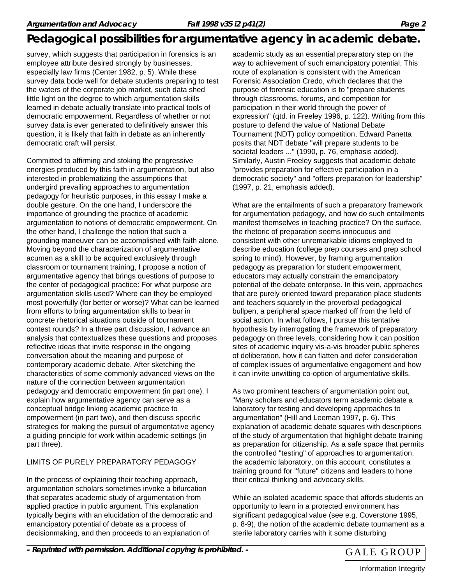survey, which suggests that participation in forensics is an employee attribute desired strongly by businesses, especially law firms (Center 1982, p. 5). While these survey data bode well for debate students preparing to test the waters of the corporate job market, such data shed little light on the degree to which argumentation skills learned in debate actually translate into practical tools of democratic empowerment. Regardless of whether or not survey data is ever generated to definitively answer this question, it is likely that faith in debate as an inherently democratic craft will persist.

Committed to affirming and stoking the progressive energies produced by this faith in argumentation, but also interested in problematizing the assumptions that undergird prevailing approaches to argumentation pedagogy for heuristic purposes, in this essay I make a double gesture. On the one hand, I underscore the importance of grounding the practice of academic argumentation to notions of democratic empowerment. On the other hand, I challenge the notion that such a grounding maneuver can be accomplished with faith alone. Moving beyond the characterization of argumentative acumen as a skill to be acquired exclusively through classroom or tournament training, I propose a notion of argumentative agency that brings questions of purpose to the center of pedagogical practice: For what purpose are argumentation skills used? Where can they be employed most powerfully (for better or worse)? What can be learned from efforts to bring argumentation skills to bear in concrete rhetorical situations outside of tournament contest rounds? In a three part discussion, I advance an analysis that contextualizes these questions and proposes reflective ideas that invite response in the ongoing conversation about the meaning and purpose of contemporary academic debate. After sketching the characteristics of some commonly advanced views on the nature of the connection between argumentation pedagogy and democratic empowerment (in part one), I explain how argumentative agency can serve as a conceptual bridge linking academic practice to empowerment (in part two), and then discuss specific strategies for making the pursuit of argumentative agency a guiding principle for work within academic settings (in part three).

#### LIMITS OF PURELY PREPARATORY PEDAGOGY

In the process of explaining their teaching approach, argumentation scholars sometimes invoke a bifurcation that separates academic study of argumentation from applied practice in public argument. This explanation typically begins with an elucidation of the democratic and emancipatory potential of debate as a process of decisionmaking, and then proceeds to an explanation of

academic study as an essential preparatory step on the way to achievement of such emancipatory potential. This route of explanation is consistent with the American Forensic Association Credo, which declares that the purpose of forensic education is to "prepare students through classrooms, forums, and competition for participation in their world through the power of expression" (qtd. in Freeley 1996, p. 122). Writing from this posture to defend the value of National Debate Tournament (NDT) policy competition, Edward Panetta posits that NDT debate "will prepare students to be societal leaders ..." (1990, p. 76, emphasis added). Similarly, Austin Freeley suggests that academic debate "provides preparation for effective participation in a democratic society" and "offers preparation for leadership" (1997, p. 21, emphasis added).

What are the entailments of such a preparatory framework for argumentation pedagogy, and how do such entailments manifest themselves in teaching practice? On the surface, the rhetoric of preparation seems innocuous and consistent with other unremarkable idioms employed to describe education (college prep courses and prep school spring to mind). However, by framing argumentation pedagogy as preparation for student empowerment, educators may actually constrain the emancipatory potential of the debate enterprise. In this vein, approaches that are purely oriented toward preparation place students and teachers squarely in the proverbial pedagogical bullpen, a peripheral space marked off from the field of social action. In what follows, I pursue this tentative hypothesis by interrogating the framework of preparatory pedagogy on three levels, considering how it can position sites of academic inquiry vis-a-vis broader public spheres of deliberation, how it can flatten and defer consideration of complex issues of argumentative engagement and how it can invite unwitting co-option of argumentative skills.

As two prominent teachers of argumentation point out, "Many scholars and educators term academic debate a laboratory for testing and developing approaches to argumentation" (Hill and Leeman 1997, p. 6). This explanation of academic debate squares with descriptions of the study of argumentation that highlight debate training as preparation for citizenship. As a safe space that permits the controlled "testing" of approaches to argumentation, the academic laboratory, on this account, constitutes a training ground for "future" citizens and leaders to hone their critical thinking and advocacy skills.

While an isolated academic space that affords students an opportunity to learn in a protected environment has significant pedagogical value (see e.g. Coverstone 1995, p. 8-9), the notion of the academic debate tournament as a sterile laboratory carries with it some disturbing

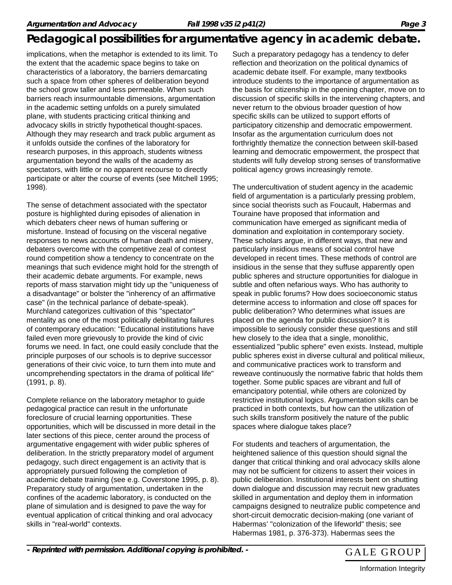implications, when the metaphor is extended to its limit. To the extent that the academic space begins to take on characteristics of a laboratory, the barriers demarcating such a space from other spheres of deliberation beyond the school grow taller and less permeable. When such barriers reach insurmountable dimensions, argumentation in the academic setting unfolds on a purely simulated plane, with students practicing critical thinking and advocacy skills in strictly hypothetical thought-spaces. Although they may research and track public argument as it unfolds outside the confines of the laboratory for research purposes, in this approach, students witness argumentation beyond the walls of the academy as spectators, with little or no apparent recourse to directly participate or alter the course of events (see Mitchell 1995; 1998).

The sense of detachment associated with the spectator posture is highlighted during episodes of alienation in which debaters cheer news of human suffering or misfortune. Instead of focusing on the visceral negative responses to news accounts of human death and misery, debaters overcome with the competitive zeal of contest round competition show a tendency to concentrate on the meanings that such evidence might hold for the strength of their academic debate arguments. For example, news reports of mass starvation might tidy up the "uniqueness of a disadvantage" or bolster the "inherency of an affirmative case" (in the technical parlance of debate-speak). Murchland categorizes cultivation of this "spectator" mentality as one of the most politically debilitating failures of contemporary education: "Educational institutions have failed even more grievously to provide the kind of civic forums we need. In fact, one could easily conclude that the principle purposes of our schools is to deprive successor generations of their civic voice, to turn them into mute and uncomprehending spectators in the drama of political life" (1991, p. 8).

Complete reliance on the laboratory metaphor to guide pedagogical practice can result in the unfortunate foreclosure of crucial learning opportunities. These opportunities, which will be discussed in more detail in the later sections of this piece, center around the process of argumentative engagement with wider public spheres of deliberation. In the strictly preparatory model of argument pedagogy, such direct engagement is an activity that is appropriately pursued following the completion of academic debate training (see e.g. Coverstone 1995, p. 8). Preparatory study of argumentation, undertaken in the confines of the academic laboratory, is conducted on the plane of simulation and is designed to pave the way for eventual application of critical thinking and oral advocacy skills in "real-world" contexts.

Such a preparatory pedagogy has a tendency to defer reflection and theorization on the political dynamics of academic debate itself. For example, many textbooks introduce students to the importance of argumentation as the basis for citizenship in the opening chapter, move on to discussion of specific skills in the intervening chapters, and never return to the obvious broader question of how specific skills can be utilized to support efforts of participatory citizenship and democratic empowerment. Insofar as the argumentation curriculum does not forthrightly thematize the connection between skill-based learning and democratic empowerment, the prospect that students will fully develop strong senses of transformative political agency grows increasingly remote.

The undercultivation of student agency in the academic field of argumentation is a particularly pressing problem, since social theorists such as Foucault, Habermas and Touraine have proposed that information and communication have emerged as significant media of domination and exploitation in contemporary society. These scholars argue, in different ways, that new and particularly insidious means of social control have developed in recent times. These methods of control are insidious in the sense that they suffuse apparently open public spheres and structure opportunities for dialogue in subtle and often nefarious ways. Who has authority to speak in public forums? How does socioeconomic status determine access to information and close off spaces for public deliberation? Who determines what issues are placed on the agenda for public discussion? It is impossible to seriously consider these questions and still hew closely to the idea that a single, monolithic, essentialized "public sphere" even exists. Instead, multiple public spheres exist in diverse cultural and political milieux, and communicative practices work to transform and reweave continuously the normative fabric that holds them together. Some public spaces are vibrant and full of emancipatory potential, while others are colonized by restrictive institutional logics. Argumentation skills can be practiced in both contexts, but how can the utilization of such skills transform positively the nature of the public spaces where dialogue takes place?

For students and teachers of argumentation, the heightened salience of this question should signal the danger that critical thinking and oral advocacy skills alone may not be sufficient for citizens to assert their voices in public deliberation. Institutional interests bent on shutting down dialogue and discussion may recruit new graduates skilled in argumentation and deploy them in information campaigns designed to neutralize public competence and short-circuit democratic decision-making (one variant of Habermas' "colonization of the lifeworld" thesis; see Habermas 1981, p. 376-373). Habermas sees the

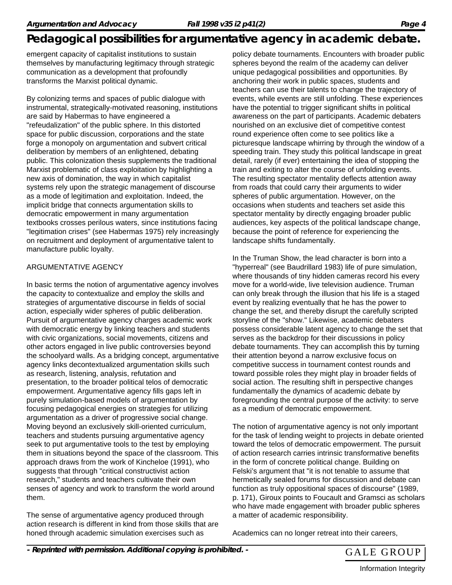emergent capacity of capitalist institutions to sustain themselves by manufacturing legitimacy through strategic communication as a development that profoundly transforms the Marxist political dynamic.

By colonizing terms and spaces of public dialogue with instrumental, strategically-motivated reasoning, institutions are said by Habermas to have engineered a "refeudalization" of the public sphere. In this distorted space for public discussion, corporations and the state forge a monopoly on argumentation and subvert critical deliberation by members of an enlightened, debating public. This colonization thesis supplements the traditional Marxist problematic of class exploitation by highlighting a new axis of domination, the way in which capitalist systems rely upon the strategic management of discourse as a mode of legitimation and exploitation. Indeed, the implicit bridge that connects argumentation skills to democratic empowerment in many argumentation textbooks crosses perilous waters, since institutions facing "legitimation crises" (see Habermas 1975) rely increasingly on recruitment and deployment of argumentative talent to manufacture public loyalty.

#### ARGUMENTATIVE AGENCY

In basic terms the notion of argumentative agency involves the capacity to contextualize and employ the skills and strategies of argumentative discourse in fields of social action, especially wider spheres of public deliberation. Pursuit of argumentative agency charges academic work with democratic energy by linking teachers and students with civic organizations, social movements, citizens and other actors engaged in live public controversies beyond the schoolyard walls. As a bridging concept, argumentative agency links decontextualized argumentation skills such as research, listening, analysis, refutation and presentation, to the broader political telos of democratic empowerment. Argumentative agency fills gaps left in purely simulation-based models of argumentation by focusing pedagogical energies on strategies for utilizing argumentation as a driver of progressive social change. Moving beyond an exclusively skill-oriented curriculum, teachers and students pursuing argumentative agency seek to put argumentative tools to the test by employing them in situations beyond the space of the classroom. This approach draws from the work of Kincheloe (1991), who suggests that through "critical constructivist action research," students and teachers cultivate their own senses of agency and work to transform the world around them.

The sense of argumentative agency produced through action research is different in kind from those skills that are honed through academic simulation exercises such as

policy debate tournaments. Encounters with broader public spheres beyond the realm of the academy can deliver unique pedagogical possibilities and opportunities. By anchoring their work in public spaces, students and teachers can use their talents to change the trajectory of events, while events are still unfolding. These experiences have the potential to trigger significant shifts in political awareness on the part of participants. Academic debaters nourished on an exclusive diet of competitive contest round experience often come to see politics like a picturesque landscape whirring by through the window of a speeding train. They study this political landscape in great detail, rarely (if ever) entertaining the idea of stopping the train and exiting to alter the course of unfolding events. The resulting spectator mentality deflects attention away from roads that could carry their arguments to wider spheres of public argumentation. However, on the occasions when students and teachers set aside this spectator mentality by directly engaging broader public audiences, key aspects of the political landscape change, because the point of reference for experiencing the landscape shifts fundamentally.

In the Truman Show, the lead character is born into a "hyperreal" (see Baudrillard 1983) life of pure simulation, where thousands of tiny hidden cameras record his every move for a world-wide, live television audience. Truman can only break through the illusion that his life is a staged event by realizing eventually that he has the power to change the set, and thereby disrupt the carefully scripted storyline of the "show." Likewise, academic debaters possess considerable latent agency to change the set that serves as the backdrop for their discussions in policy debate tournaments. They can accomplish this by turning their attention beyond a narrow exclusive focus on competitive success in tournament contest rounds and toward possible roles they might play in broader fields of social action. The resulting shift in perspective changes fundamentally the dynamics of academic debate by foregrounding the central purpose of the activity: to serve as a medium of democratic empowerment.

The notion of argumentative agency is not only important for the task of lending weight to projects in debate oriented toward the telos of democratic empowerment. The pursuit of action research carries intrinsic transformative benefits in the form of concrete political change. Building on Felski's argument that "it is not tenable to assume that hermetically sealed forums for discussion and debate can function as truly oppositional spaces of discourse" (1989, p. 171), Giroux points to Foucault and Gramsci as scholars who have made engagement with broader public spheres a matter of academic responsibility.

Academics can no longer retreat into their careers,

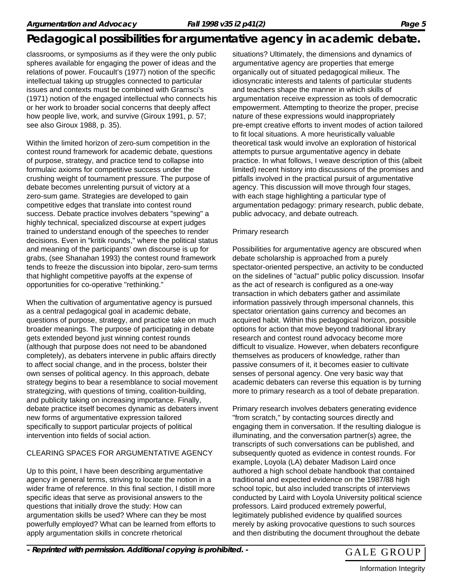classrooms, or symposiums as if they were the only public spheres available for engaging the power of ideas and the relations of power. Foucault's (1977) notion of the specific intellectual taking up struggles connected to particular issues and contexts must be combined with Gramsci's (1971) notion of the engaged intellectual who connects his or her work to broader social concerns that deeply affect how people live, work, and survive (Giroux 1991, p. 57; see also Giroux 1988, p. 35).

Within the limited horizon of zero-sum competition in the contest round framework for academic debate, questions of purpose, strategy, and practice tend to collapse into formulaic axioms for competitive success under the crushing weight of tournament pressure. The purpose of debate becomes unrelenting pursuit of victory at a zero-sum game. Strategies are developed to gain competitive edges that translate into contest round success. Debate practice involves debaters "spewing" a highly technical, specialized discourse at expert judges trained to understand enough of the speeches to render decisions. Even in "kritik rounds," where the political status and meaning of the participants' own discourse is up for grabs, (see Shanahan 1993) the contest round framework tends to freeze the discussion into bipolar, zero-sum terms that highlight competitive payoffs at the expense of opportunities for co-operative "rethinking."

When the cultivation of argumentative agency is pursued as a central pedagogical goal in academic debate, questions of purpose, strategy, and practice take on much broader meanings. The purpose of participating in debate gets extended beyond just winning contest rounds (although that purpose does not need to be abandoned completely), as debaters intervene in public affairs directly to affect social change, and in the process, bolster their own senses of political agency. In this approach, debate strategy begins to bear a resemblance to social movement strategizing, with questions of timing, coalition-building, and publicity taking on increasing importance. Finally, debate practice itself becomes dynamic as debaters invent new forms of argumentative expression tailored specifically to support particular projects of political intervention into fields of social action.

#### CLEARING SPACES FOR ARGUMENTATIVE AGENCY

Up to this point, I have been describing argumentative agency in general terms, striving to locate the notion in a wider frame of reference. In this final section, I distill more specific ideas that serve as provisional answers to the questions that initially drove the study: How can argumentation skills be used? Where can they be most powerfully employed? What can be learned from efforts to apply argumentation skills in concrete rhetorical

situations? Ultimately, the dimensions and dynamics of argumentative agency are properties that emerge organically out of situated pedagogical milieux. The idiosyncratic interests and talents of particular students and teachers shape the manner in which skills of argumentation receive expression as tools of democratic empowerment. Attempting to theorize the proper, precise nature of these expressions would inappropriately pre-empt creative efforts to invent modes of action tailored to fit local situations. A more heuristically valuable theoretical task would involve an exploration of historical attempts to pursue argumentative agency in debate practice. In what follows, I weave description of this (albeit limited) recent history into discussions of the promises and pitfalls involved in the practical pursuit of argumentative agency. This discussion will move through four stages, with each stage highlighting a particular type of argumentation pedagogy: primary research, public debate, public advocacy, and debate outreach.

#### Primary research

Possibilities for argumentative agency are obscured when debate scholarship is approached from a purely spectator-oriented perspective, an activity to be conducted on the sidelines of "actual" public policy discussion. Insofar as the act of research is configured as a one-way transaction in which debaters gather and assimilate information passively through impersonal channels, this spectator orientation gains currency and becomes an acquired habit. Within this pedagogical horizon, possible options for action that move beyond traditional library research and contest round advocacy become more difficult to visualize. However, when debaters reconfigure themselves as producers of knowledge, rather than passive consumers of it, it becomes easier to cultivate senses of personal agency. One very basic way that academic debaters can reverse this equation is by turning more to primary research as a tool of debate preparation.

Primary research involves debaters generating evidence "from scratch," by contacting sources directly and engaging them in conversation. If the resulting dialogue is illuminating, and the conversation partner(s) agree, the transcripts of such conversations can be published, and subsequently quoted as evidence in contest rounds. For example, Loyola (LA) debater Madison Laird once authored a high school debate handbook that contained traditional and expected evidence on the 1987/88 high school topic, but also included transcripts of interviews conducted by Laird with Loyola University political science professors. Laird produced extremely powerful, legitimately published evidence by qualified sources merely by asking provocative questions to such sources and then distributing the document throughout the debate

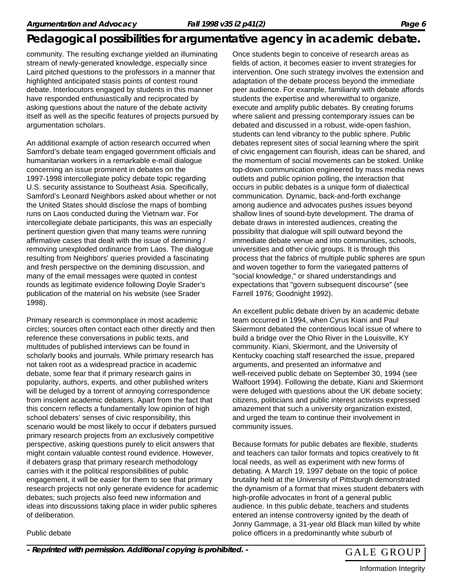community. The resulting exchange yielded an illuminating stream of newly-generated knowledge, especially since Laird pitched questions to the professors in a manner that highlighted anticipated stasis points of contest round debate. Interlocutors engaged by students in this manner have responded enthusiastically and reciprocated by asking questions about the nature of the debate activity itself as well as the specific features of projects pursued by argumentation scholars.

An additional example of action research occurred when Samford's debate team engaged government officials and humanitarian workers in a remarkable e-mail dialogue concerning an issue prominent in debates on the 1997-1998 intercollegiate policy debate topic regarding U.S. security assistance to Southeast Asia. Specifically, Samford's Leonard Neighbors asked about whether or not the United States should disclose the maps of bombing runs on Laos conducted during the Vietnam war. For intercollegiate debate participants, this was an especially pertinent question given that many teams were running affirmative cases that dealt with the issue of demining / removing unexploded ordinance from Laos. The dialogue resulting from Neighbors' queries provided a fascinating and fresh perspective on the demining discussion, and many of the email messages were quoted in contest rounds as legitimate evidence following Doyle Srader's publication of the material on his website (see Srader 1998).

Primary research is commonplace in most academic circles; sources often contact each other directly and then reference these conversations in public texts, and multitudes of published interviews can be found in scholarly books and journals. While primary research has not taken root as a widespread practice in academic debate, some fear that if primary research gains in popularity, authors, experts, and other published writers will be deluged by a torrent of annoying correspondence from insolent academic debaters. Apart from the fact that this concern reflects a fundamentally low opinion of high school debaters' senses of civic responsibility, this scenario would be most likely to occur if debaters pursued primary research projects from an exclusively competitive perspective, asking questions purely to elicit answers that might contain valuable contest round evidence. However, if debaters grasp that primary research methodology carries with it the political responsibilities of public engagement, it will be easier for them to see that primary research projects not only generate evidence for academic debates; such projects also feed new information and ideas into discussions taking place in wider public spheres of deliberation.

Once students begin to conceive of research areas as fields of action, it becomes easier to invent strategies for intervention. One such strategy involves the extension and adaptation of the debate process beyond the immediate peer audience. For example, familiarity with debate affords students the expertise and wherewithal to organize, execute and amplify public debates. By creating forums where salient and pressing contemporary issues can be debated and discussed in a robust, wide-open fashion, students can lend vibrancy to the public sphere. Public debates represent sites of social learning where the spirit of civic engagement can flourish, ideas can be shared, and the momentum of social movements can be stoked. Unlike top-down communication engineered by mass media news outlets and public opinion polling, the interaction that occurs in public debates is a unique form of dialectical communication. Dynamic, back-and-forth exchange among audience and advocates pushes issues beyond shallow lines of sound-byte development. The drama of debate draws in interested audiences, creating the possibility that dialogue will spill outward beyond the immediate debate venue and into communities, schools, universities and other civic groups. It is through this process that the fabrics of multiple public spheres are spun and woven together to form the variegated patterns of "social knowledge," or shared understandings and expectations that "govern subsequent discourse" (see Farrell 1976; Goodnight 1992).

An excellent public debate driven by an academic debate team occurred in 1994, when Cyrus Kiani and Paul Skiermont debated the contentious local issue of where to build a bridge over the Ohio River in the Louisville, KY community. Kiani, Skiermont, and the University of Kentucky coaching staff researched the issue, prepared arguments, and presented an informative and well-received public debate on September 30, 1994 (see Walfoort 1994). Following the debate, Kiani and Skiermont were deluged with questions about the UK debate society; citizens, politicians and public interest activists expressed amazement that such a university organization existed, and urged the team to continue their involvement in community issues.

Because formats for public debates are flexible, students and teachers can tailor formats and topics creatively to fit local needs, as well as experiment with new forms of debating. A March 19, 1997 debate on the topic of police brutality held at the University of Pittsburgh demonstrated the dynamism of a format that mixes student debaters with high-profile advocates in front of a general public audience. In this public debate, teachers and students entered an intense controversy ignited by the death of Jonny Gammage, a 31-year old Black man killed by white police officers in a predominantly white suburb of

Public debate

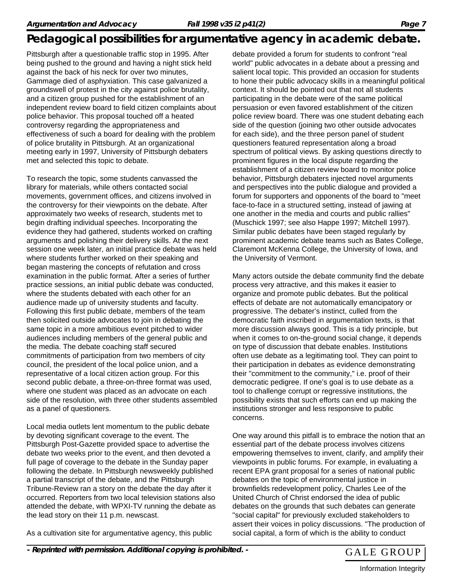Pittsburgh after a questionable traffic stop in 1995. After being pushed to the ground and having a night stick held against the back of his neck for over two minutes, Gammage died of asphyxiation. This case galvanized a groundswell of protest in the city against police brutality, and a citizen group pushed for the establishment of an independent review board to field citizen complaints about police behavior. This proposal touched off a heated controversy regarding the appropriateness and effectiveness of such a board for dealing with the problem of police brutality in Pittsburgh. At an organizational meeting early in 1997, University of Pittsburgh debaters met and selected this topic to debate.

To research the topic, some students canvassed the library for materials, while others contacted social movements, government offices, and citizens involved in the controversy for their viewpoints on the debate. After approximately two weeks of research, students met to begin drafting individual speeches. Incorporating the evidence they had gathered, students worked on crafting arguments and polishing their delivery skills. At the next session one week later, an initial practice debate was held where students further worked on their speaking and began mastering the concepts of refutation and cross examination in the public format. After a series of further practice sessions, an initial public debate was conducted, where the students debated with each other for an audience made up of university students and faculty. Following this first public debate, members of the team then solicited outside advocates to join in debating the same topic in a more ambitious event pitched to wider audiences including members of the general public and the media. The debate coaching staff secured commitments of participation from two members of city council, the president of the local police union, and a representative of a local citizen action group. For this second public debate, a three-on-three format was used, where one student was placed as an advocate on each side of the resolution, with three other students assembled as a panel of questioners.

Local media outlets lent momentum to the public debate by devoting significant coverage to the event. The Pittsburgh Post-Gazette provided space to advertise the debate two weeks prior to the event, and then devoted a full page of coverage to the debate in the Sunday paper following the debate. In Pittsburgh newsweekly published a partial transcript of the debate, and the Pittsburgh Tribune-Review ran a story on the debate the day after it occurred. Reporters from two local television stations also attended the debate, with WPXI-TV running the debate as the lead story on their 11 p.m. newscast.

As a cultivation site for argumentative agency, this public

debate provided a forum for students to confront "real world" public advocates in a debate about a pressing and salient local topic. This provided an occasion for students to hone their public advocacy skills in a meaningful political context. It should be pointed out that not all students participating in the debate were of the same political persuasion or even favored establishment of the citizen police review board. There was one student debating each side of the question (joining two other outside advocates for each side), and the three person panel of student questioners featured representation along a broad spectrum of political views. By asking questions directly to prominent figures in the local dispute regarding the establishment of a citizen review board to monitor police behavior, Pittsburgh debaters injected novel arguments and perspectives into the public dialogue and provided a forum for supporters and opponents of the board to "meet face-to-face in a structured setting, instead of jawing at one another in the media and courts and public rallies" (Muschick 1997; see also Happe 1997; Mitchell 1997). Similar public debates have been staged regularly by prominent academic debate teams such as Bates College, Claremont McKenna College, the University of Iowa, and the University of Vermont.

Many actors outside the debate community find the debate process very attractive, and this makes it easier to organize and promote public debates. But the political effects of debate are not automatically emancipatory or progressive. The debater's instinct, culled from the democratic faith inscribed in argumentation texts, is that more discussion always good. This is a tidy principle, but when it comes to on-the-ground social change, it depends on type of discussion that debate enables. Institutions often use debate as a legitimating tool. They can point to their participation in debates as evidence demonstrating their "commitment to the community," i.e. proof of their democratic pedigree. If one's goal is to use debate as a tool to challenge corrupt or regressive institutions, the possibility exists that such efforts can end up making the institutions stronger and less responsive to public concerns.

One way around this pitfall is to embrace the notion that an essential part of the debate process involves citizens empowering themselves to invent, clarify, and amplify their viewpoints in public forums. For example, in evaluating a recent EPA grant proposal for a series of national public debates on the topic of environmental justice in brownfields redevelopment policy, Charles Lee of the United Church of Christ endorsed the idea of public debates on the grounds that such debates can generate "social capital" for previously excluded stakeholders to assert their voices in policy discussions. "The production of social capital, a form of which is the ability to conduct

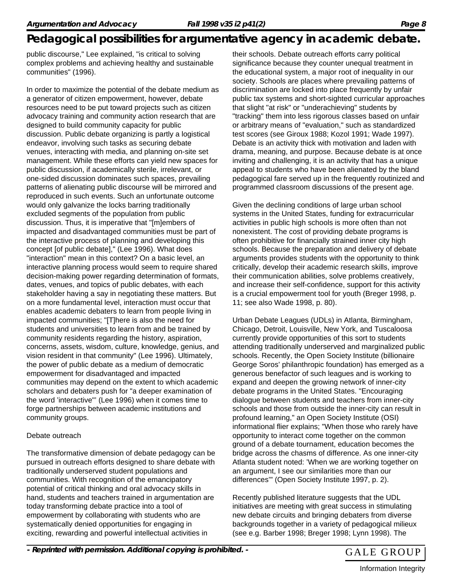public discourse," Lee explained, "is critical to solving complex problems and achieving healthy and sustainable communities" (1996).

In order to maximize the potential of the debate medium as a generator of citizen empowerment, however, debate resources need to be put toward projects such as citizen advocacy training and community action research that are designed to build community capacity for public discussion. Public debate organizing is partly a logistical endeavor, involving such tasks as securing debate venues, interacting with media, and planning on-site set management. While these efforts can yield new spaces for public discussion, if academically sterile, irrelevant, or one-sided discussion dominates such spaces, prevailing patterns of alienating public discourse will be mirrored and reproduced in such events. Such an unfortunate outcome would only galvanize the locks barring traditionally excluded segments of the population from public discussion. Thus, it is imperative that "[m]embers of impacted and disadvantaged communities must be part of the interactive process of planning and developing this concept [of public debate]," (Lee 1996). What does "interaction" mean in this context? On a basic level, an interactive planning process would seem to require shared decision-making power regarding determination of formats, dates, venues, and topics of public debates, with each stakeholder having a say in negotiating these matters. But on a more fundamental level, interaction must occur that enables academic debaters to learn from people living in impacted communities; "[T]here is also the need for students and universities to learn from and be trained by community residents regarding the history, aspiration, concerns, assets, wisdom, culture, knowledge, genius, and vision resident in that community" (Lee 1996). Ultimately, the power of public debate as a medium of democratic empowerment for disadvantaged and impacted communities may depend on the extent to which academic scholars and debaters push for "a deeper examination of the word 'interactive"' (Lee 1996) when it comes time to forge partnerships between academic institutions and community groups.

#### Debate outreach

The transformative dimension of debate pedagogy can be pursued in outreach efforts designed to share debate with traditionally underserved student populations and communities. With recognition of the emancipatory potential of critical thinking and oral advocacy skills in hand, students and teachers trained in argumentation are today transforming debate practice into a tool of empowerment by collaborating with students who are systematically denied opportunities for engaging in exciting, rewarding and powerful intellectual activities in

their schools. Debate outreach efforts carry political significance because they counter unequal treatment in the educational system, a major root of inequality in our society. Schools are places where prevailing patterns of discrimination are locked into place frequently by unfair public tax systems and short-sighted curricular approaches that slight "at risk" or "underachieving" students by "tracking" them into less rigorous classes based on unfair or arbitrary means of "evaluation," such as standardized test scores (see Giroux 1988; Kozol 1991; Wade 1997). Debate is an activity thick with motivation and laden with drama, meaning, and purpose. Because debate is at once inviting and challenging, it is an activity that has a unique appeal to students who have been alienated by the bland pedagogical fare served up in the frequently routinized and programmed classroom discussions of the present age.

Given the declining conditions of large urban school systems in the United States, funding for extracurricular activities in public high schools is more often than not nonexistent. The cost of providing debate programs is often prohibitive for financially strained inner city high schools. Because the preparation and delivery of debate arguments provides students with the opportunity to think critically, develop their academic research skills, improve their communication abilities, solve problems creatively, and increase their self-confidence, support for this activity is a crucial empowerment tool for youth (Breger 1998, p. 11; see also Wade 1998, p. 80).

Urban Debate Leagues (UDLs) in Atlanta, Birmingham, Chicago, Detroit, Louisville, New York, and Tuscaloosa currently provide opportunities of this sort to students attending traditionally underserved and marginalized public schools. Recently, the Open Society Institute (billionaire George Soros' philanthropic foundation) has emerged as a generous benefactor of such leagues and is working to expand and deepen the growing network of inner-city debate programs in the United States. "Encouraging dialogue between students and teachers from inner-city schools and those from outside the inner-city can result in profound learning," an Open Society Institute (OSI) informational flier explains; "When those who rarely have opportunity to interact come together on the common ground of a debate tournament, education becomes the bridge across the chasms of difference. As one inner-city Atlanta student noted: 'When we are working together on an argument, I see our similarities more than our differences'" (Open Society Institute 1997, p. 2).

Recently published literature suggests that the UDL initiatives are meeting with great success in stimulating new debate circuits and bringing debaters from diverse backgrounds together in a variety of pedagogical milieux (see e.g. Barber 1998; Breger 1998; Lynn 1998). The

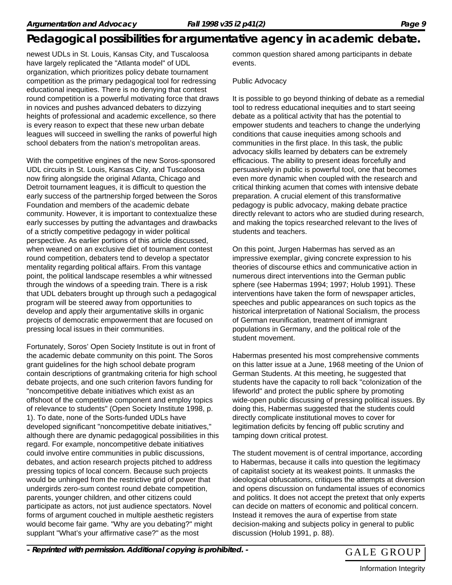newest UDLs in St. Louis, Kansas City, and Tuscaloosa have largely replicated the "Atlanta model" of UDL organization, which prioritizes policy debate tournament competition as the primary pedagogical tool for redressing educational inequities. There is no denying that contest round competition is a powerful motivating force that draws in novices and pushes advanced debaters to dizzying heights of professional and academic excellence, so there is every reason to expect that these new urban debate leagues will succeed in swelling the ranks of powerful high school debaters from the nation's metropolitan areas.

With the competitive engines of the new Soros-sponsored UDL circuits in St. Louis, Kansas City, and Tuscaloosa now firing alongside the original Atlanta, Chicago and Detroit tournament leagues, it is difficult to question the early success of the partnership forged between the Soros Foundation and members of the academic debate community. However, it is important to contextualize these early successes by putting the advantages and drawbacks of a strictly competitive pedagogy in wider political perspective. As earlier portions of this article discussed, when weaned on an exclusive diet of tournament contest round competition, debaters tend to develop a spectator mentality regarding political affairs. From this vantage point, the political landscape resembles a whir witnessed through the windows of a speeding train. There is a risk that UDL debaters brought up through such a pedagogical program will be steered away from opportunities to develop and apply their argumentative skills in organic projects of democratic empowerment that are focused on pressing local issues in their communities.

Fortunately, Soros' Open Society Institute is out in front of the academic debate community on this point. The Soros grant guidelines for the high school debate program contain descriptions of grantmaking criteria for high school debate projects, and one such criterion favors funding for "noncompetitive debate initiatives which exist as an offshoot of the competitive component and employ topics of relevance to students" (Open Society Institute 1998, p. 1). To date, none of the Sorts-funded UDLs have developed significant "noncompetitive debate initiatives," although there are dynamic pedagogical possibilities in this regard. For example, noncompetitive debate initiatives could involve entire communities in public discussions, debates, and action research projects pitched to address pressing topics of local concern. Because such projects would be unhinged from the restrictive grid of power that undergirds zero-sum contest round debate competition, parents, younger children, and other citizens could participate as actors, not just audience spectators. Novel forms of argument couched in multiple aesthetic registers would become fair game. "Why are you debating?" might supplant "What's your affirmative case?" as the most

common question shared among participants in debate events.

#### Public Advocacy

It is possible to go beyond thinking of debate as a remedial tool to redress educational inequities and to start seeing debate as a political activity that has the potential to empower students and teachers to change the underlying conditions that cause inequities among schools and communities in the first place. In this task, the public advocacy skills learned by debaters can be extremely efficacious. The ability to present ideas forcefully and persuasively in public is powerful tool, one that becomes even more dynamic when coupled with the research and critical thinking acumen that comes with intensive debate preparation. A crucial element of this transformative pedagogy is public advocacy, making debate practice directly relevant to actors who are studied during research, and making the topics researched relevant to the lives of students and teachers.

On this point, Jurgen Habermas has served as an impressive exemplar, giving concrete expression to his theories of discourse ethics and communicative action in numerous direct interventions into the German public sphere (see Habermas 1994; 1997; Holub 1991). These interventions have taken the form of newspaper articles, speeches and public appearances on such topics as the historical interpretation of National Socialism, the process of German reunification, treatment of immigrant populations in Germany, and the political role of the student movement.

Habermas presented his most comprehensive comments on this latter issue at a June, 1968 meeting of the Union of German Students. At this meeting, he suggested that students have the capacity to roll back "colonization of the lifeworld" and protect the public sphere by promoting wide-open public discussing of pressing political issues. By doing this, Habermas suggested that the students could directly complicate institutional moves to cover for legitimation deficits by fencing off public scrutiny and tamping down critical protest.

The student movement is of central importance, according to Habermas, because it calls into question the legitimacy of capitalist society at its weakest points. It unmasks the ideological obfuscations, critiques the attempts at diversion and opens discussion on fundamental issues of economics and politics. It does not accept the pretext that only experts can decide on matters of economic and political concern. Instead it removes the aura of expertise from state decision-making and subjects policy in general to public discussion (Holub 1991, p. 88).

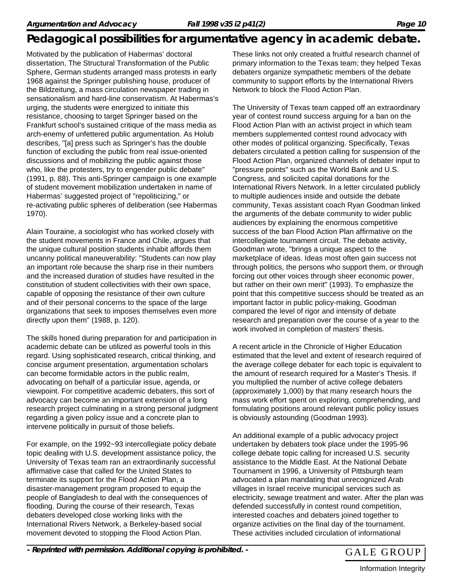Motivated by the publication of Habermas' doctoral dissertation, The Structural Transformation of the Public Sphere, German students arranged mass protests in early 1968 against the Springer publishing house, producer of the Bildzeitung, a mass circulation newspaper trading in sensationalism and hard-line conservatism. At Habermas's urging, the students were energized to initiate this resistance, choosing to target Springer based on the Frankfurt school's sustained critique of the mass media as arch-enemy of unfettered public argumentation. As Holub describes, "[a] press such as Springer's has the double function of excluding the public from real issue-oriented discussions and of mobilizing the public against those who, like the protesters, try to engender public debate" (1991, p. 88). This anti-Springer campaign is one example of student movement mobilization undertaken in name of Habermas' suggested project of "repoliticizing," or re-activating public spheres of deliberation (see Habermas 1970).

Alain Touraine, a sociologist who has worked closely with the student movements in France and Chile, argues that the unique cultural position students inhabit affords them uncanny political maneuverability: "Students can now play an important role because the sharp rise in their numbers and the increased duration of studies have resulted in the constitution of student collectivities with their own space, capable of opposing the resistance of their own culture and of their personal concerns to the space of the large organizations that seek to imposes themselves even more directly upon them" (1988, p. 120).

The skills honed during preparation for and participation in academic debate can be utilized as powerful tools in this regard. Using sophisticated research, critical thinking, and concise argument presentation, argumentation scholars can become formidable actors in the public realm, advocating on behalf of a particular issue, agenda, or viewpoint. For competitive academic debaters, this sort of advocacy can become an important extension of a long research project culminating in a strong personal judgment regarding a given policy issue and a concrete plan to intervene politically in pursuit of those beliefs.

For example, on the 1992~93 intercollegiate policy debate topic dealing with U.S. development assistance policy, the University of Texas team ran an extraordinarily successful affirmative case that called for the United States to terminate its support for the Flood Action Plan, a disaster-management program proposed to equip the people of Bangladesh to deal with the consequences of flooding. During the course of their research, Texas debaters developed close working links with the International Rivers Network, a Berkeley-based social movement devoted to stopping the Flood Action Plan.

These links not only created a fruitful research channel of primary information to the Texas team; they helped Texas debaters organize sympathetic members of the debate community to support efforts by the International Rivers Network to block the Flood Action Plan.

The University of Texas team capped off an extraordinary year of contest round success arguing for a ban on the Flood Action Plan with an activist project in which team members supplemented contest round advocacy with other modes of political organizing. Specifically, Texas debaters circulated a petition calling for suspension of the Flood Action Plan, organized channels of debater input to "pressure points" such as the World Bank and U.S. Congress, and solicited capital donations for the International Rivers Network. In a letter circulated publicly to multiple audiences inside and outside the debate community, Texas assistant coach Ryan Goodman linked the arguments of the debate community to wider public audiences by explaining the enormous competitive success of the ban Flood Action Plan affirmative on the intercollegiate tournament circuit. The debate activity, Goodman wrote, "brings a unique aspect to the marketplace of ideas. Ideas most often gain success not through politics, the persons who support them, or through forcing out other voices through sheer economic power, but rather on their own merit" (1993). To emphasize the point that this competitive success should be treated as an important factor in public policy-making, Goodman compared the level of rigor and intensity of debate research and preparation over the course of a year to the work involved in completion of masters' thesis.

A recent article in the Chronicle of Higher Education estimated that the level and extent of research required of the average college debater for each topic is equivalent to the amount of research required for a Master's Thesis. If you multiplied the number of active college debaters (approximately 1,000) by that many research hours the mass work effort spent on exploring, comprehending, and formulating positions around relevant public policy issues is obviously astounding (Goodman 1993).

An additional example of a public advocacy project undertaken by debaters took place under the 1995-96 college debate topic calling for increased U.S. security assistance to the Middle East. At the National Debate Tournament in 1996, a University of Pittsburgh team advocated a plan mandating that unrecognized Arab villages in Israel receive municipal services such as electricity, sewage treatment and water. After the plan was defended successfully in contest round competition, interested coaches and debaters joined together to organize activities on the final day of the tournament. These activities included circulation of informational

- Reprinted with permission. Additional copying is prohibited. - GALE GROUP

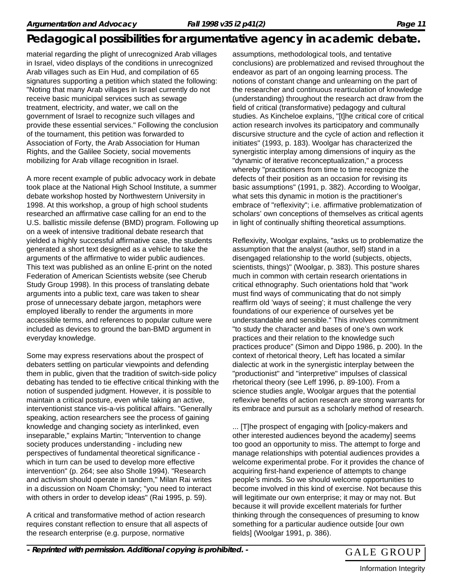material regarding the plight of unrecognized Arab villages in Israel, video displays of the conditions in unrecognized Arab villages such as Ein Hud, and compilation of 65 signatures supporting a petition which stated the following: "Noting that many Arab villages in Israel currently do not receive basic municipal services such as sewage treatment, electricity, and water, we call on the government of Israel to recognize such villages and provide these essential services." Following the conclusion of the tournament, this petition was forwarded to Association of Forty, the Arab Association for Human Rights, and the Galilee Society, social movements mobilizing for Arab village recognition in Israel.

A more recent example of public advocacy work in debate took place at the National High School Institute, a summer debate workshop hosted by Northwestern University in 1998. At this workshop, a group of high school students researched an affirmative case calling for an end to the U.S. ballistic missile defense (BMD) program. Following up on a week of intensive traditional debate research that yielded a highly successful affirmative case, the students generated a short text designed as a vehicle to take the arguments of the affirmative to wider public audiences. This text was published as an online E-print on the noted Federation of American Scientists website (see Cherub Study Group 1998). In this process of translating debate arguments into a public text, care was taken to shear prose of unnecessary debate jargon, metaphors were employed liberally to render the arguments in more accessible terms, and references to popular culture were included as devices to ground the ban-BMD argument in everyday knowledge.

Some may express reservations about the prospect of debaters settling on particular viewpoints and defending them in public, given that the tradition of switch-side policy debating has tended to tie effective critical thinking with the notion of suspended judgment. However, it is possible to maintain a critical posture, even while taking an active, interventionist stance vis-a-vis political affairs. "Generally speaking, action researchers see the process of gaining knowledge and changing society as interlinked, even inseparable," explains Martin; "Intervention to change society produces understanding - including new perspectives of fundamental theoretical significance which in turn can be used to develop more effective intervention" (p. 264; see also Sholle 1994). "Research and activism should operate in tandem," Milan Rai writes in a discussion on Noam Chomsky; "you need to interact with others in order to develop ideas" (Rai 1995, p. 59).

A critical and transformative method of action research requires constant reflection to ensure that all aspects of the research enterprise (e.g. purpose, normative

assumptions, methodological tools, and tentative conclusions) are problematized and revised throughout the endeavor as part of an ongoing learning process. The notions of constant change and unlearning on the part of the researcher and continuous rearticulation of knowledge (understanding) throughout the research act draw from the field of critical (transformative) pedagogy and cultural studies. As Kincheloe explains, "[t]he critical core of critical action research involves its participatory and communally discursive structure and the cycle of action and reflection it initiates" (1993, p. 183). Woolgar has characterized the synergistic interplay among dimensions of inquiry as the "dynamic of iterative reconceptualization," a process whereby "practitioners from time to time recognize the defects of their position as an occasion for revising its basic assumptions" (1991, p. 382). According to Woolgar, what sets this dynamic in motion is the practitioner's embrace of "reflexivity"; i.e. affirmative problematization of scholars' own conceptions of themselves as critical agents in light of continually shifting theoretical assumptions.

Reflexivity, Woolgar explains, "asks us to problematize the assumption that the analyst (author, self) stand in a disengaged relationship to the world (subjects, objects, scientists, things)" (Woolgar, p. 383). This posture shares much in common with certain research orientations in critical ethnography. Such orientations hold that "work must find ways of communicating that do not simply reaffirm old 'ways of seeing'; it must challenge the very foundations of our experience of ourselves yet be understandable and sensible." This involves commitment "to study the character and bases of one's own work practices and their relation to the knowledge such practices produce" (Simon and Dippo 1986, p. 200). In the context of rhetorical theory, Left has located a similar dialectic at work in the synergistic interplay between the "productionist" and "interpretive" impulses of classical rhetorical theory (see Leff 1996, p. 89-100). From a science studies angle, Woolgar argues that the potential reflexive benefits of action research are strong warrants for its embrace and pursuit as a scholarly method of research.

... [T]he prospect of engaging with [policy-makers and other interested audiences beyond the academy] seems too good an opportunity to miss. The attempt to forge and manage relationships with potential audiences provides a welcome experimental probe. For it provides the chance of acquiring first-hand experience of attempts to change people's minds. So we should welcome opportunities to become involved in this kind of exercise. Not because this will legitimate our own enterprise; it may or may not. But because it will provide excellent materials for further thinking through the consequences of presuming to know something for a particular audience outside [our own fields] (Woolgar 1991, p. 386).

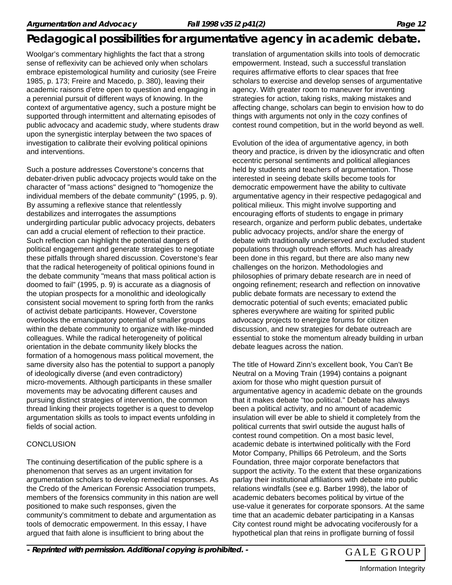Woolgar's commentary highlights the fact that a strong sense of reflexivity can be achieved only when scholars embrace epistemological humility and curiosity (see Freire 1985, p. 173; Freire and Macedo, p. 380), leaving their academic raisons d'etre open to question and engaging in a perennial pursuit of different ways of knowing. In the context of argumentative agency, such a posture might be supported through intermittent and alternating episodes of public advocacy and academic study, where students draw upon the synergistic interplay between the two spaces of investigation to calibrate their evolving political opinions and interventions.

Such a posture addresses Coverstone's concerns that debater-driven public advocacy projects would take on the character of "mass actions" designed to "homogenize the individual members of the debate community" (1995, p. 9). By assuming a reflexive stance that relentlessly destabilizes and interrogates the assumptions undergirding particular public advocacy projects, debaters can add a crucial element of reflection to their practice. Such reflection can highlight the potential dangers of political engagement and generate strategies to negotiate these pitfalls through shared discussion. Coverstone's fear that the radical heterogeneity of political opinions found in the debate community "means that mass political action is doomed to fail" (1995, p. 9) is accurate as a diagnosis of the utopian prospects for a monolithic and ideologically consistent social movement to spring forth from the ranks of activist debate participants. However, Coverstone overlooks the emancipatory potential of smaller groups within the debate community to organize with like-minded colleagues. While the radical heterogeneity of political orientation in the debate community likely blocks the formation of a homogenous mass political movement, the same diversity also has the potential to support a panoply of ideologically diverse (and even contradictory) micro-movements. Although participants in these smaller movements may be advocating different causes and pursuing distinct strategies of intervention, the common thread linking their projects together is a quest to develop argumentation skills as tools to impact events unfolding in fields of social action.

#### **CONCLUSION**

The continuing desertification of the public sphere is a phenomenon that serves as an urgent invitation for argumentation scholars to develop remedial responses. As the Credo of the American Forensic Association trumpets, members of the forensics community in this nation are well positioned to make such responses, given the community's commitment to debate and argumentation as tools of democratic empowerment. In this essay, I have argued that faith alone is insufficient to bring about the

translation of argumentation skills into tools of democratic empowerment. Instead, such a successful translation requires affirmative efforts to clear spaces that free scholars to exercise and develop senses of argumentative agency. With greater room to maneuver for inventing strategies for action, taking risks, making mistakes and affecting change, scholars can begin to envision how to do things with arguments not only in the cozy confines of contest round competition, but in the world beyond as well.

Evolution of the idea of argumentative agency, in both theory and practice, is driven by the idiosyncratic and often eccentric personal sentiments and political allegiances held by students and teachers of argumentation. Those interested in seeing debate skills become tools for democratic empowerment have the ability to cultivate argumentative agency in their respective pedagogical and political milieux. This might involve supporting and encouraging efforts of students to engage in primary research, organize and perform public debates, undertake public advocacy projects, and/or share the energy of debate with traditionally underserved and excluded student populations through outreach efforts. Much has already been done in this regard, but there are also many new challenges on the horizon. Methodologies and philosophies of primary debate research are in need of ongoing refinement; research and reflection on innovative public debate formats are necessary to extend the democratic potential of such events; emaciated public spheres everywhere are waiting for spirited public advocacy projects to energize forums for citizen discussion, and new strategies for debate outreach are essential to stoke the momentum already building in urban debate leagues across the nation.

The title of Howard Zinn's excellent book, You Can't Be Neutral on a Moving Train (1994) contains a poignant axiom for those who might question pursuit of argumentative agency in academic debate on the grounds that it makes debate "too political." Debate has always been a political activity, and no amount of academic insulation will ever be able to shield it completely from the political currents that swirl outside the august halls of contest round competition. On a most basic level, academic debate is intertwined politically with the Ford Motor Company, Phillips 66 Petroleum, and the Sorts Foundation, three major corporate benefactors that support the activity. To the extent that these organizations parlay their institutional affiliations with debate into public relations windfalls (see e.g. Barber 1998), the labor of academic debaters becomes political by virtue of the use-value it generates for corporate sponsors. At the same time that an academic debater participating in a Kansas City contest round might be advocating vociferously for a hypothetical plan that reins in profligate burning of fossil

- Reprinted with permission. Additional copying is prohibited. - GALE GROUP

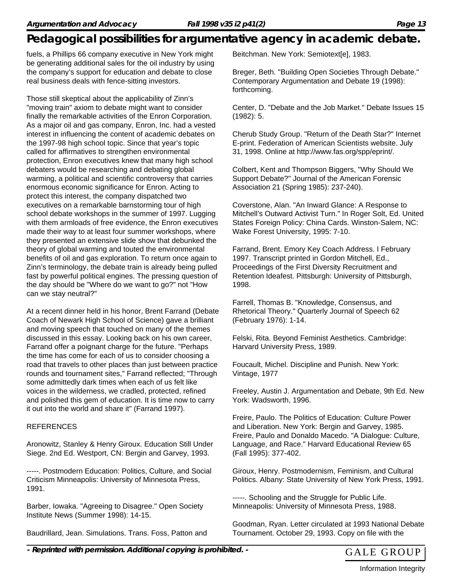fuels, a Phillips 66 company executive in New York might be generating additional sales for the oil industry by using the company's support for education and debate to close real business deals with fence-sitting investors.

Those still skeptical about the applicability of Zinn's "moving train" axiom to debate might want to consider finally the remarkable activities of the Enron Corporation. As a major oil and gas company, Enron, Inc. had a vested interest in influencing the content of academic debates on the 1997-98 high school topic. Since that year's topic called for affirmatives to strengthen environmental protection, Enron executives knew that many high school debaters would be researching and debating global warming, a political and scientific controversy that carries enormous economic significance for Enron. Acting to protect this interest, the company dispatched two executives on a remarkable barnstorming tour of high school debate workshops in the summer of 1997. Lugging with them armloads of free evidence, the Enron executives made their way to at least four summer workshops, where they presented an extensive slide show that debunked the theory of global warming and touted the environmental benefits of oil and gas exploration. To return once again to Zinn's terminology, the debate train is already being pulled fast by powerful political engines. The pressing question of the day should be "Where do we want to go?" not "How can we stay neutral?"

At a recent dinner held in his honor, Brent Farrand (Debate Coach of Newark High School of Science) gave a brilliant and moving speech that touched on many of the themes discussed in this essay. Looking back on his own career, Farrand offer a poignant charge for the future. "Perhaps the time has come for each of us to consider choosing a road that travels to other places than just between practice rounds and tournament sites," Farrand reflected; "Through some admittedly dark times when each of us felt like voices in the wilderness, we cradled, protected, refined and polished this gem of education. It is time now to carry it out into the world and share it" (Farrand 1997).

#### REFERENCES

Aronowitz, Stanley & Henry Giroux. Education Still Under Siege. 2nd Ed. Westport, CN: Bergin and Garvey, 1993.

-----. Postmodern Education: Politics, Culture, and Social Criticism Minneapolis: University of Minnesota Press, 1991.

Barber, Iowaka. "Agreeing to Disagree." Open Society Institute News (Summer 1998): 14-15.

Baudrillard, Jean. Simulations. Trans. Foss, Patton and

Beitchman. New York: Semiotext[e], 1983.

Breger, Beth. "Building Open Societies Through Debate." Contemporary Argumentation and Debate 19 (1998): forthcoming.

Center, D. "Debate and the Job Market." Debate Issues 15 (1982): 5.

Cherub Study Group. "Return of the Death Star?" Internet E-print. Federation of American Scientists website. July 31, 1998. Online at http://www.fas.org/spp/eprint/.

Colbert, Kent and Thompson Biggers, "Why Should We Support Debate?" Journal of the American Forensic Association 21 (Spring 1985): 237-240).

Coverstone, Alan. "An Inward Glance: A Response to Mitchell's Outward Activist Turn." In Roger Solt, Ed. United States Foreign Policy: China Cards. Winston-Salem, NC: Wake Forest University, 1995: 7-10.

Farrand, Brent. Emory Key Coach Address. I February 1997. Transcript printed in Gordon Mitchell, Ed., Proceedings of the First Diversity Recruitment and Retention Ideafest. Pittsburgh: University of Pittsburgh, 1998.

Farrell, Thomas B. "Knowledge, Consensus, and Rhetorical Theory." Quarterly Journal of Speech 62 (February 1976): 1-14.

Felski, Rita. Beyond Feminist Aesthetics. Cambridge: Harvard University Press, 1989.

Foucault, Michel. Discipline and Punish. New York: Vintage, 1977

Freeley, Austin J. Argumentation and Debate, 9th Ed. New York: Wadsworth, 1996.

Freire, Paulo. The Politics of Education: Culture Power and Liberation. New York: Bergin and Garvey, 1985. Freire, Paulo and Donaldo Macedo. "A Dialogue: Culture, Language, and Race." Harvard Educational Review 65 (Fall 1995): 377-402.

Giroux, Henry. Postmodernism, Feminism, and Cultural Politics. Albany: State University of New York Press, 1991.

-----. Schooling and the Struggle for Public Life. Minneapolis: University of Minnesota Press, 1988.

Goodman, Ryan. Letter circulated at 1993 National Debate Tournament. October 29, 1993. Copy on file with the

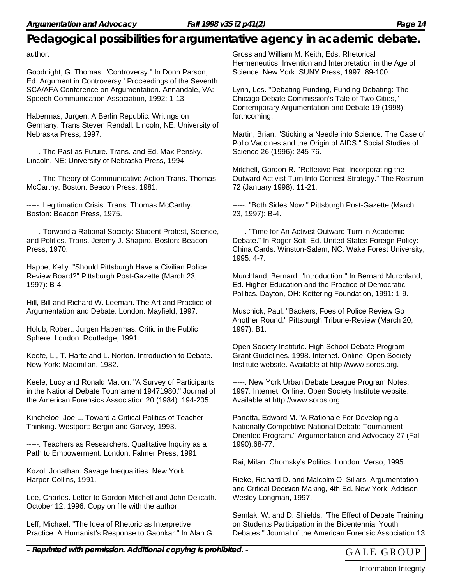author.

Goodnight, G. Thomas. "Controversy." In Donn Parson, Ed. Argument in Controversy.' Proceedings of the Seventh SCA/AFA Conference on Argumentation. Annandale, VA: Speech Communication Association, 1992: 1-13.

Habermas, Jurgen. A Berlin Republic: Writings on Germany. Trans Steven Rendall. Lincoln, NE: University of Nebraska Press, 1997.

-----. The Past as Future. Trans. and Ed. Max Pensky. Lincoln, NE: University of Nebraska Press, 1994.

-----. The Theory of Communicative Action Trans. Thomas McCarthy. Boston: Beacon Press, 1981.

-----. Legitimation Crisis. Trans. Thomas McCarthy. Boston: Beacon Press, 1975.

-----. Torward a Rational Society: Student Protest, Science, and Politics. Trans. Jeremy J. Shapiro. Boston: Beacon Press, 1970.

Happe, Kelly. "Should Pittsburgh Have a Civilian Police Review Board?" Pittsburgh Post-Gazette (March 23, 1997): B-4.

Hill, Bill and Richard W. Leeman. The Art and Practice of Argumentation and Debate. London: Mayfield, 1997.

Holub, Robert. Jurgen Habermas: Critic in the Public Sphere. London: Routledge, 1991.

Keefe, L., T. Harte and L. Norton. Introduction to Debate. New York: Macmillan, 1982.

Keele, Lucy and Ronald Matlon. "A Survey of Participants in the National Debate Tournament 19471980." Journal of the American Forensics Association 20 (1984): 194-205.

Kincheloe, Joe L. Toward a Critical Politics of Teacher Thinking. Westport: Bergin and Garvey, 1993.

-----. Teachers as Researchers: Qualitative Inquiry as a Path to Empowerment. London: Falmer Press, 1991

Kozol, Jonathan. Savage Inequalities. New York: Harper-Collins, 1991.

Lee, Charles. Letter to Gordon Mitchell and John Delicath. October 12, 1996. Copy on file with the author.

Leff, Michael. "The Idea of Rhetoric as Interpretive Practice: A Humanist's Response to Gaonkar." In Alan G. Gross and William M. Keith, Eds. Rhetorical Hermeneutics: Invention and Interpretation in the Age of Science. New York: SUNY Press, 1997: 89-100.

Lynn, Les. "Debating Funding, Funding Debating: The Chicago Debate Commission's Tale of Two Cities," Contemporary Argumentation and Debate 19 (1998): forthcoming.

Martin, Brian. "Sticking a Needle into Science: The Case of Polio Vaccines and the Origin of AIDS." Social Studies of Science 26 (1996): 245-76.

Mitchell, Gordon R. "Reflexive Fiat: Incorporating the Outward Activist Turn Into Contest Strategy." The Rostrum 72 (January 1998): 11-21.

-----. "Both Sides Now." Pittsburgh Post-Gazette (March 23, 1997): B-4.

-----. "Time for An Activist Outward Turn in Academic Debate." In Roger Solt, Ed. United States Foreign Policy: China Cards. Winston-Salem, NC: Wake Forest University, 1995: 4-7.

Murchland, Bernard. "Introduction." In Bernard Murchland, Ed. Higher Education and the Practice of Democratic Politics. Dayton, OH: Kettering Foundation, 1991: 1-9.

Muschick, Paul. "Backers, Foes of Police Review Go Another Round." Pittsburgh Tribune-Review (March 20, 1997): B1.

Open Society Institute. High School Debate Program Grant Guidelines. 1998. Internet. Online. Open Society Institute website. Available at http://www.soros.org.

-----. New York Urban Debate League Program Notes. 1997. Internet. Online. Open Society Institute website. Available at http://www.soros.org.

Panetta, Edward M. "A Rationale For Developing a Nationally Competitive National Debate Tournament Oriented Program." Argumentation and Advocacy 27 (Fall 1990):68-77.

Rai, Milan. Chomsky's Politics. London: Verso, 1995.

Rieke, Richard D. and Malcolm O. Sillars. Argumentation and Critical Decision Making, 4th Ed. New York: Addison Wesley Longman, 1997.

Semlak, W. and D. Shields. "The Effect of Debate Training on Students Participation in the Bicentennial Youth Debates." Journal of the American Forensic Association 13